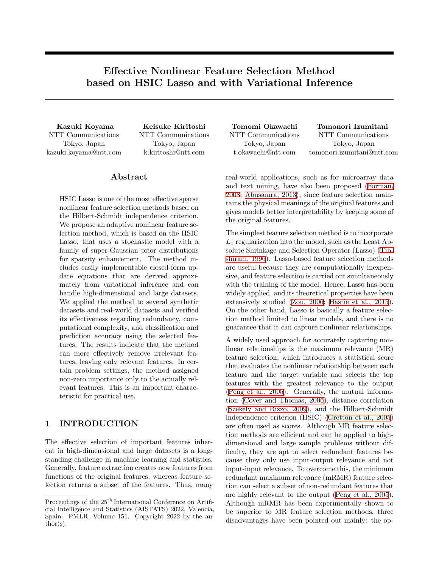# **Effective Nonlinear Feature Selection Method based on HSIC Lasso and with Variational Inference**

NTT Communications Tokyo, Japan kazuki.koyama@ntt.com NTT Communications Tokyo, Japan k.kiritoshi@ntt.com

## **Abstract**

HSIC Lasso is one of the most effective sparse nonlinear feature selection methods based on the Hilbert-Schmidt independence criterion. We propose an adaptive nonlinear feature selection method, which is based on the HSIC Lasso, that uses a stochastic model with a family of super-Gaussian prior distributions for sparsity enhancement. The method includes easily implementable closed-form update equations that are derived approximately from variational inference and can handle high-dimensional and large datasets. We applied the method to several synthetic datasets and real-world datasets and verified its effectiveness regarding redundancy, computational complexity, and classification and prediction accuracy using the selected features. The results indicate that the method can more effectively remove irrelevant features, leaving only relevant features. In certain problem settings, the method assigned non-zero importance only to the actually relevant features. This is an important characteristic for practical use.

## **1 INTRODUCTION**

The effective selection of important features inherent in high-dimensional and large datasets is a longstanding challenge in machine learning and statistics. Generally, feature extraction creates new features from functions of the original features, whereas feature selection returns a subset of the features. Thus, many NTT Communications Tokyo, Japan t.okawachi@ntt.com

**Kazuki Koyama Keisuke Kiritoshi Tomomi Okawachi Tomonori Izumitani** NTT Communications Tokyo, Japan tomonori.izumitani@ntt.com

> real-world applications, such as for microarray data and text mining, have also been proposed([Forman,](#page-8-0) [2008;](#page-8-0) [Abusamra, 2013](#page-8-1)), since feature selection maintains the physical meanings of the original features and gives models better interpretability by keeping some of the original features.

> The simplest feature selection method is to incorporate *L*<sup>1</sup> regularization into the model, such as the Least Absolute Shrinkage and Selection Operator (Lasso)([Tib](#page-9-0)[shirani, 1996\)](#page-9-0). Lasso-based feature selection methods are useful because they are computationally inexpensive, and feature selection is carried out simultaneously with the training of the model. Hence, Lasso has been widely applied, and its theoretical properties have been extensively studied [\(Zou, 2006](#page-9-1); [Hastie et al., 2015](#page-8-2)). On the other hand, Lasso is basically a feature selection method limited to linear models, and there is no guarantee that it can capture nonlinear relationships.

> A widely used approach for accurately capturing nonlinear relationships is the maximum relevance (MR) feature selection, which introduces a statistical score that evaluates the nonlinear relationship between each feature and the target variable and selects the top features with the greatest relevance to the output ([Peng et al., 2005\)](#page-8-3). Generally, the mutual information [\(Cover and Thomas, 2006\)](#page-8-4), distance correlation (Székely and Rizzo, 2009), and the Hilbert-Schmidt independence criterion (HSIC) [\(Gretton et al., 2005](#page-8-5)) are often used as scores. Although MR feature selection methods are efficient and can be applied to highdimensional and large sample problems without difficulty, they are apt to select redundant features because they only use input-output relevance and not input-input relevance. To overcome this, the minimum redundant maximum relevance (mRMR) feature selection can select a subset of non-redundant features that are highly relevant to the output([Peng et al., 2005](#page-8-3)). Although mRMR has been experimentally shown to be superior to MR feature selection methods, three disadvantages have been pointed out mainly: the op-

Proceedings of the  $25^{\text{th}}$  International Conference on Artificial Intelligence and Statistics (AISTATS) 2022, Valencia, Spain. PMLR: Volume 151. Copyright 2022 by the au- $\text{thor}(s)$ .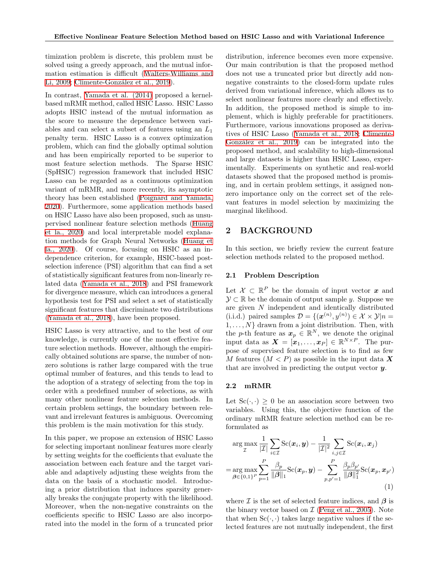timization problem is discrete, this problem must be solved using a greedy approach, and the mutual information estimation is difficult [\(Walters-Williams and](#page-9-3) [Li, 2009](#page-9-3); Climente-González et al., 2019).

In contrast, [Yamada et al. \(2014\)](#page-9-4) proposed a kernelbased mRMR method, called HSIC Lasso. HSIC Lasso adopts HSIC instead of the mutual information as the score to measure the dependence between variables and can select a subset of features using an *L*<sup>1</sup> penalty term. HSIC Lasso is a convex optimization problem, which can find the globally optimal solution and has been empirically reported to be superior to most feature selection methods. The Sparse HSIC (SpHSIC) regression framework that included HSIC Lasso can be regarded as a continuous optimization variant of mRMR, and more recently, its asymptotic theory has been established([Poignard and Yamada,](#page-9-5) [2020\)](#page-9-5). Furthermore, some application methods based on HSIC Lasso have also been proposed, such as unsupervised nonlinear feature selection methods [\(Huang](#page-8-7) [et la., 2020](#page-8-7)) and local interpretable model explanation methods for Graph Neural Networks([Huang et](#page-8-8) [la., 2020\)](#page-8-8). Of course, focusing on HSIC as an independence criterion, for example, HSIC-based postselection inference (PSI) algorithm that can find a set of statistically significant features from non-linearly related data [\(Yamada et al., 2018\)](#page-9-6) and PSI framework for divergence measure, which can introduces a general hypothesis test for PSI and select a set of statistically significant features that discriminate two distributions ([Yamada et al., 2018\)](#page-9-7), have been proposed.

HSIC Lasso is very attractive, and to the best of our knowledge, is currently one of the most effective feature selection methods. However, although the empirically obtained solutions are sparse, the number of nonzero solutions is rather large compared with the true optimal number of features, and this tends to lead to the adoption of a strategy of selecting from the top in order with a predefined number of selections, as with many other nonlinear feature selection methods. In certain problem settings, the boundary between relevant and irrelevant features is ambiguous. Overcoming this problem is the main motivation for this study.

In this paper, we propose an extension of HSIC Lasso for selecting important nonlinear features more clearly by setting weights for the coefficients that evaluate the association between each feature and the target variable and adaptively adjusting these weights from the data on the basis of a stochastic model. Introducing a prior distribution that induces sparsity generally breaks the conjugate property with the likelihood. Moreover, when the non-negative constraints on the coefficients specific to HSIC Lasso are also incorporated into the model in the form of a truncated prior distribution, inference becomes even more expensive. Our main contribution is that the proposed method does not use a truncated prior but directly add nonnegative constraints to the closed-form update rules derived from variational inference, which allows us to select nonlinear features more clearly and effectively. In addition, the proposed method is simple to implement, which is highly preferable for practitioners. Furthermore, various innovations proposed as derivatives of HSIC Lasso([Yamada et al., 2018;](#page-9-8) [Climente-](#page-8-6)González et al., 2019) can be integrated into the proposed method, and scalability to high-dimensional and large datasets is higher than HSIC Lasso, experimentally. Experiments on synthetic and real-world datasets showed that the proposed method is promising, and in certain problem settings, it assigned nonzero importance only on the correct set of the relevant features in model selection by maximizing the marginal likelihood.

## **2 BACKGROUND**

In this section, we briefly review the current feature selection methods related to the proposed method.

## **2.1 Problem Description**

Let  $X \subset \mathbb{R}^P$  be the domain of input vector  $x$  and *Y* ⊂ R be the domain of output sample *y*. Suppose we are given *N* independent and identically distributed  $(i.i.d.)$  paired samples  $\mathcal{D} = \{(\mathbf{x}^{(n)}, y^{(n)}) \in \mathcal{X} \times \mathcal{Y} | n =$ 1*, . . . , N}* drawn from a joint distribution. Then, with the *p*-th feature as  $x_p \in \mathbb{R}^N$ , we denote the original input data as  $\boldsymbol{X} = [\boldsymbol{x}_1, \dots, \boldsymbol{x}_P] \in \mathbb{R}^{N \times P}$ . The purpose of supervised feature selection is to find as few *M* features  $(M < P)$  as possible in the input data **X** that are involved in predicting the output vector *y*.

#### <span id="page-1-1"></span>**2.2 mRMR**

Let  $Sc(\cdot, \cdot) \geq 0$  be an association score between two variables. Using this, the objective function of the ordinary mRMR feature selection method can be reformulated as

$$
\arg \max_{\mathcal{I}} \frac{1}{|\mathcal{I}|} \sum_{i \in \mathcal{I}} \text{Sc}(\boldsymbol{x}_i, \boldsymbol{y}) - \frac{1}{|\mathcal{I}|^2} \sum_{i,j \in \mathcal{I}} \text{Sc}(\boldsymbol{x}_i, \boldsymbol{x}_j)
$$
\n
$$
= \arg \max_{\boldsymbol{\beta} \in \{0,1\}^P} \sum_{p=1}^P \frac{\beta_p}{\|\boldsymbol{\beta}\|_1} \text{Sc}(\boldsymbol{x}_p, \boldsymbol{y}) - \sum_{p,p'=1}^P \frac{\beta_p \beta_{p'}}{\|\boldsymbol{\beta}\|_1^2} \text{Sc}(\boldsymbol{x}_p, \boldsymbol{x}_{p'})
$$
\n(1)

<span id="page-1-0"></span>where  $I$  is the set of selected feature indices, and  $\beta$  is the binary vector based on *I* ([Peng et al., 2005](#page-8-3)). Note that when  $Sc(\cdot, \cdot)$  takes large negative values if the selected features are not mutually independent, the first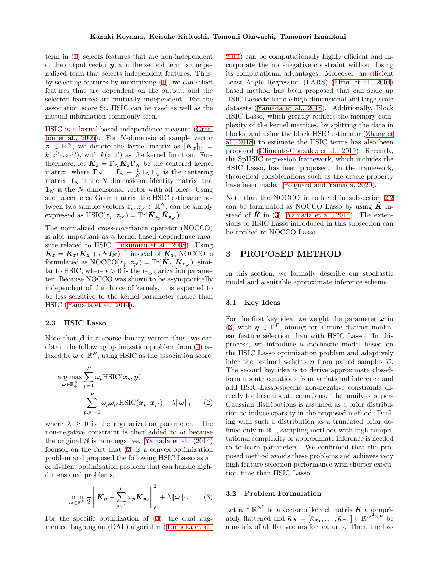term in [\(1](#page-1-0)) selects features that are non-independent of the output vector  $y$ , and the second term is the penalized term that selects independent features. Thus, by selecting features by maximizing([1\)](#page-1-0), we can select features that are dependent on the output, and the selected features are mutually independent. For the association score Sc, HSIC can be used as well as the mutual information commonly seen.

HSIC is a kernel-based independence measure([Gret](#page-8-5)[ton et al., 2005](#page-8-5)). For *N*-dimensional sample vector  $z \in \mathbb{R}^N$ , we denote the kernel matrix as  $[K_z]_{ij}$  =  $k(z^{(i)}, z^{(j)})$ , with  $k(z, z')$  as the kernel function. Furthermore, let  $\bar{K}_z = \Gamma_N \bar{K}_z \Gamma_N$  be the centered kernel matrix, where  $\mathbf{\Gamma}_N = \mathbf{I}_N - \frac{1}{N} \mathbf{1}_N \mathbf{1}_N^\top$  is the centering matrix,  $I_N$  is the  $N$  dimensional identity matrix, and  $\mathbf{1}_N$  is the *N* dimensional vector with all ones. Using such a centered Gram matrix, the HSIC estimator between two sample vectors  $\boldsymbol{z}_p, \boldsymbol{z}_{p'} \in \mathbb{R}^N$ , can be simply  $\exp$ cessed as  $\text{HSIC}(z_p, z_{p'}) = \text{Tr}(\bar{K}_{z_p} \bar{K}_{z_{p'}}).$ 

The normalized cross-covariance operator (NOCCO) is also important as a kernel-based dependence measure related to HSIC([Fukumizu et al., 2008](#page-8-9)). Using  $\tilde{K}_z = \bar{K}_z(\bar{K}_z + \epsilon N I_N)^{-1}$  instead of  $\bar{K}_z$ , NOCCO is  $\text{formulated as NOCCO}(\boldsymbol{z}_p, \boldsymbol{z}_{p'}) = \text{Tr}(\tilde{\boldsymbol{K}}_{\boldsymbol{z}_p}\tilde{\boldsymbol{K}}_{\boldsymbol{z}_{p'}}), \text{ similar}$ lar to HSIC, where  $\epsilon > 0$  is the regularization parameter. Because NOCCO was shown to be asymptotically independent of the choice of kernels, it is expected to be less sensitive to the kernel parameter choice than HSIC([Yamada et al., 2014\)](#page-9-4).

#### **2.3 HSIC Lasso**

Note that  $\beta$  is a sparse binary vector; thus, we can obtain the following optimization problem from([1\)](#page-1-0) relaxed by  $\omega \in \mathbb{R}_+^P$ , using HSIC as the association score,

$$
\arg \max_{\boldsymbol{\omega} \in \mathbb{R}_+^P} \sum_{p=1}^P \omega_p \text{HSIC}(\boldsymbol{x}_p, \boldsymbol{y}) - \sum_{p, p'=1}^P \omega_p \omega_{p'} \text{HSIC}(\boldsymbol{x}_p, \boldsymbol{x}_{p'}) - \lambda \|\boldsymbol{\omega}\|_1 \qquad (2)
$$

where  $\lambda \geq 0$  is the regularization parameter. The non-negative constraint is then added to  $\omega$  because the original  $\beta$  is non-negative. [Yamada et al. \(2014\)](#page-9-4) focused on the fact that([2](#page-2-0)) is a convex optimization problem and proposed the following HSIC Lasso as an equivalent optimization problem that can handle highdimensional problems,

$$
\min_{\boldsymbol{\omega} \in \mathbb{R}_+^P} \frac{1}{2} \left\| \bar{\boldsymbol{K}}_{\boldsymbol{y}} - \sum_{p=1}^P \omega_p \bar{\boldsymbol{K}}_{\boldsymbol{x}_p} \right\|_F^2 + \lambda \|\boldsymbol{\omega}\|_1. \tag{3}
$$

For the specific optimization of [\(3](#page-2-1)), the dual augmented Lagrangian (DAL) algorithm([Tomioka et al.,](#page-9-9)

[2011\)](#page-9-9) can be computationally highly efficient and incorporate the non-negative constraint without losing its computational advantages. Moreover, an efficient Least Angle Regression (LARS)([Efron et al., 2004](#page-8-10)) based method has been proposed that can scale up HSIC Lasso to handle high-dimensional and large-scale datasets([Yamada et al., 2018](#page-9-8)). Additionally, Block HSIC Lasso, which greatly reduces the memory complexity of the kernel matrices, by splitting the data in blocks, and using the block HSIC estimator([Zhang et](#page-9-10) [al., 2018\)](#page-9-10) to estimate the HSIC terms has also been proposed([Climente-Gonz´alez et al., 2019\)](#page-8-6). Recently, the SpHSIC regression framework, which includes the HSIC Lasso, has been proposed. In the framework, theoretical considerations such as the oracle property have been made.([Poignard and Yamada, 2020](#page-9-5)).

Note that the NOCCO introduced in subsection [2.2](#page-1-1) can be formulated as NOCCO Lasso by using  $\tilde{K}$  insteadof  $\bar{K}$  in ([3\)](#page-2-1) [\(Yamada et al., 2014\)](#page-9-4). The extensions to HSIC Lasso introduced in this subsection can be applied to NOCCO Lasso.

## **3 PROPOSED METHOD**

In this section, we formally describe our stochastic model and a suitable approximate inference scheme.

## <span id="page-2-2"></span>**3.1 Key Ideas**

<span id="page-2-0"></span>For the first key idea, we weight the parameter  $\omega$  in ([3\)](#page-2-1) with  $\eta \in \mathbb{R}^P_+$ , aiming for a more distinct nonlinear feature selection than with HSIC Lasso. In this process, we introduce a stochastic model based on the HSIC Lasso optimization problem and adaptively infer the optimal weights  $\eta$  from paired samples  $\mathcal{D}$ . The second key idea is to derive approximate closedform update equations from variational inference and add HSIC-Lasso-specific non-negative constraints directly to these update equations. The family of super-Gaussian distributions is assumed as a prior distribution to induce sparsity in the proposed method. Dealing with such a distribution as a truncated prior defined only in  $\mathbb{R}_+$ , sampling methods with high computational complexity or approximate inference is needed to to learn parameters. We confirmed that the proposed method avoids these problems and achieves very high feature selection performance with shorter execution time than HSIC Lasso.

## <span id="page-2-1"></span>**3.2 Problem Formulation**

Let  $\bar{\boldsymbol{\kappa}} \in \mathbb{R}^{N^2}$  be a vector of kernel matrix  $\bar{\boldsymbol{K}}$  appropriately flattened and  $\bar{\kappa}_X = [\bar{\kappa}_{x_1}, \dots, \bar{\kappa}_{x_P}] \in \mathbb{R}^{\bar{N}^2 \times \bar{P}}$  be a matrix of all flat vectors for features. Then, the loss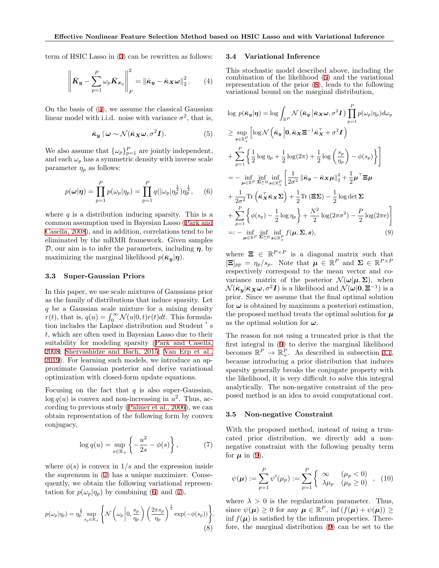term of HSIC Lasso in([3\)](#page-2-1) can be rewritten as follows:

$$
\left\| \bar{K}_y - \sum_{p=1}^P \omega_p \bar{K}_{x_p} \right\|_F^2 = \left\| \bar{\kappa}_y - \bar{\kappa}_X \omega \right\|_2^2. \tag{4}
$$

On the basis of([4\)](#page-3-0), we assume the classical Gaussian linear model with i.i.d. noise with variance  $\sigma^2$ , that is,

$$
\bar{\kappa}_y \mid \omega \sim \mathcal{N}(\bar{\kappa}_X \omega, \sigma^2 \mathbf{I}). \tag{5}
$$

We also assume that  $\{\omega_p\}_{p=1}^P$  are jointly independent, and each  $\omega_p$  has a symmetric density with inverse scale parameter  $\eta_p$  as follows:

$$
p(\omega|\eta) = \prod_{p=1}^{P} p(\omega_p|\eta_p) = \prod_{p=1}^{P} q(|\omega_p|\eta_p^{\frac{1}{2}})\eta_p^{\frac{1}{2}},
$$
 (6)

where  $q$  is a distribution inducing sparsity. This is a common assumption used in Bayesian Lasso([Park and](#page-8-11) [Casella, 2008\)](#page-8-11), and in addition, correlations tend to be eliminated by the mRMR framework. Given samples *D*, our aim is to infer the parameters, including *η*, by maximizing the marginal likelihood  $p(\bar{\kappa}_y|\eta)$ .

## **3.3 Super-Gaussian Priors**

In this paper, we use scale mixtures of Gaussians prior as the family of distributions that induce sparsity. Let *q* be a Gaussian scale mixture for a mixing density *r*(*t*), that is,  $q(u) = \int_0^\infty \mathcal{N}(u|0,t)r(t)dt$ . This formulation includes the Laplace distribution and Student 's *t*, which are often used in Bayesian Lasso due to their suitability for modeling sparsity [\(Park and Casella,](#page-8-11) [2008;](#page-8-11) [Shervashidze and Bach, 2015;](#page-9-11) Van Erp et al., 2019). For learning such models, we introduce an approximate Gaussian posterior and derive variational optimization with closed-form update equations.

Focusing on the fact that  $q$  is also super-Gaussian,  $\log q(u)$  is convex and non-increasing in  $u^2$ . Thus, according to previous study([Palmer et al., 2006\)](#page-8-12), we can obtain representation of the following form by convex conjugacy,

$$
\log q(u) = \sup_{s \in \mathbb{R}_+} \left\{-\frac{u^2}{2s} - \phi(s)\right\},\tag{7}
$$

where  $\phi(s)$  is convex in  $1/s$  and the expression inside the supremum in [\(7](#page-3-1)) has a unique maximizer. Consequently, we obtain the following variational representationfor  $p(\omega_p|\eta_p)$  by combining ([6](#page-3-2)) and ([7\)](#page-3-1),

$$
p(\omega_p|\eta_p) = \eta_p^{\frac{1}{2}} \sup_{s_p \in \mathbb{R}_+} \left\{ \mathcal{N}\left(\omega_p \left| 0, \frac{s_p}{\eta_p}\right) \left(\frac{2\pi s_p}{\eta_p}\right)^{\frac{1}{2}} \exp(-\phi(s_p)) \right\} . \tag{8}
$$

#### **3.4 Variational Inference**

<span id="page-3-0"></span>This stochastic model described above, including the combination of the likelihood([5](#page-3-3)) and the variational representation of the prior([8\)](#page-3-4), leads to the following variational bound on the marginal distribution,

<span id="page-3-3"></span>
$$
\log p(\bar{\kappa}_{y}|\eta) = \log \int_{\mathbb{R}^{P}} \mathcal{N} (\bar{\kappa}_{y} | \bar{\kappa}_{X} \omega, \sigma^{2} I) \prod_{p=1}^{P} p(\omega_{p} | \eta_{p}) d\omega_{p}
$$
\n
$$
\geq \sup_{s \in \mathbb{R}^{P}_{+}} \left[ \log \mathcal{N} (\bar{\kappa}_{y} | 0, \bar{\kappa}_{X} \Xi^{-1} \bar{\kappa}_{X}^{\top} + \sigma^{2} I) \right]
$$
\n
$$
+ \sum_{p=1}^{P} \left\{ \frac{1}{2} \log \eta_{p} + \frac{1}{2} \log(2\pi) + \frac{1}{2} \log \left( \frac{s_{p}}{\eta_{p}} \right) - \phi(s_{p}) \right\} \right]
$$
\n
$$
= - \inf_{\mu \in \mathbb{R}^{P}} \inf_{\Sigma \succeq 0} \inf_{s \in \mathbb{R}^{P}_{+}} \left[ \frac{1}{2\sigma^{2}} || \bar{\kappa}_{y} - \bar{\kappa}_{X} \mu ||_{2}^{2} + \frac{1}{2} \mu^{\top} \Xi \mu
$$
\n
$$
+ \frac{1}{2\sigma^{2}} \text{Tr} (\bar{\kappa}_{X} \bar{\kappa}_{X} \Sigma) + \frac{1}{2} \text{Tr} (\Xi \Sigma) - \frac{1}{2} \log \det \Sigma
$$
\n
$$
+ \sum_{p=1}^{P} \left\{ \phi(s_{p}) - \frac{1}{2} \log \eta_{p} \right\} + \frac{N^{2}}{2} \log(2\pi\sigma^{2}) - \frac{P}{2} \log(2\pi e) \right]
$$
\n
$$
=: - \inf_{\mu \in \mathbb{R}^{P}} \inf_{\Sigma \succeq 0} \sup_{s \in \mathbb{R}^{P}_{+}} f(\mu, \Sigma, s), \tag{9}
$$

<span id="page-3-5"></span><span id="page-3-2"></span>where  $\mathbf{\Xi} \in \mathbb{R}^{P \times P}$  is a diagonal matrix such that  $[\Xi]_{pp} = \eta_p / s_p$ . Note that  $\boldsymbol{\mu} \in \mathbb{R}^P$  and  $\Sigma \in \mathbb{R}^{P \times P}$ respectively correspond to the mean vector and covariance matrix of the posterior  $\mathcal{N}(\omega|\mu, \Sigma)$ , when  $\mathcal{N}(\bar{\kappa}_{y}|\bar{\kappa}_{\bm{X}}\omega,\sigma^2\bm{I})$  is a likelihood and  $\mathcal{N}(\omega|\bm{0},\bm{\Xi}^{-1})$  is a prior. Since we assume that the final optimal solution for  $\omega$  is obtained by maximum a posteriori estimation, the proposed method treats the optimal solution for  $\mu$ as the optimal solution for *ω*.

The reason for not using a truncated prior is that the first integral in([9](#page-3-5)) to derive the marginal likelihood becomes  $\mathbb{R}^P \to \mathbb{R}^P_+$ . As described in subsection [3.1](#page-2-2), because introducing a prior distribution that induces sparsity generally breaks the conjugate property with the likelihood, it is very difficult to solve this integral analytically. The non-negative constraint of the proposed method is an idea to avoid computational cost.

#### **3.5 Non-negative Constraint**

<span id="page-3-1"></span>With the proposed method, instead of using a truncated prior distribution, we directly add a nonnegative constraint with the following penalty term for  $\mu$  in [\(9](#page-3-5)),

$$
\psi(\mu) := \sum_{p=1}^{P} \psi'(\mu_p) := \sum_{p=1}^{P} \left\{ \begin{array}{ll} \infty & (\mu_p < 0) \\ \lambda \mu_p & (\mu_p \ge 0) \end{array} \right., (10)
$$

<span id="page-3-4"></span>where  $\lambda > 0$  is the regularization parameter. Thus, since  $\psi(\boldsymbol{\mu}) \geq 0$  for any  $\boldsymbol{\mu} \in \mathbb{R}^P$ , inf  $(f(\boldsymbol{\mu}) + \psi(\boldsymbol{\mu})) \geq 0$ inf  $f(\mu)$  is satisfied by the infimum properties. Therefore, the marginal distribution([9](#page-3-5)) can be set to the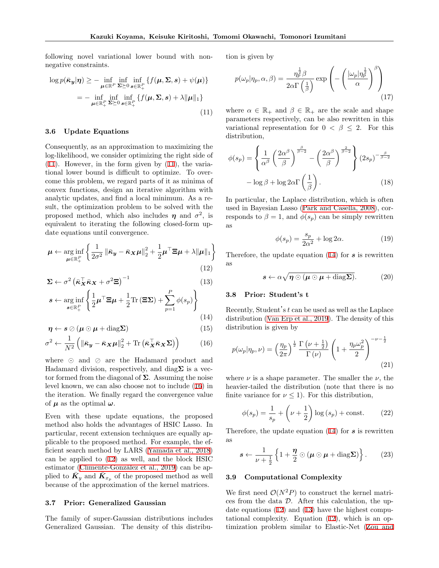following novel variational lower bound with nonnegative constraints.

$$
\log p(\bar{\boldsymbol{\kappa}}_{\boldsymbol{y}}|\boldsymbol{\eta}) \geq - \inf_{\boldsymbol{\mu} \in \mathbb{R}^P} \inf_{\boldsymbol{\Sigma} \succeq 0} \inf_{\boldsymbol{s} \in \mathbb{R}_+^P} \{ f(\boldsymbol{\mu}, \boldsymbol{\Sigma}, \boldsymbol{s}) + \psi(\boldsymbol{\mu}) \}
$$

$$
= - \inf_{\boldsymbol{\mu} \in \mathbb{R}_+^P} \inf_{\boldsymbol{\Sigma} \succeq 0} \inf_{\boldsymbol{s} \in \mathbb{R}_+^P} \{ f(\boldsymbol{\mu}, \boldsymbol{\Sigma}, \boldsymbol{s}) + \lambda \|\boldsymbol{\mu}\|_1 \}
$$
(11)

#### **3.6 Update Equations**

Consequently, as an approximation to maximizing the log-likelihood, we consider optimizing the right side of ([11\)](#page-4-0). However, in the form given by([11\)](#page-4-0), the variational lower bound is difficult to optimize. To overcome this problem, we regard parts of it as minima of convex functions, design an iterative algorithm with analytic updates, and find a local minimum. As a result, the optimization problem to be solved with the proposed method, which also includes  $\eta$  and  $\sigma^2$ , is equivalent to iterating the following closed-form update equations until convergence.

$$
\boldsymbol{\mu} \leftarrow \underset{\boldsymbol{\mu} \in \mathbb{R}_+^P}{\arg \inf} \left\{ \frac{1}{2\sigma^2} \left\| \bar{\boldsymbol{\kappa}}_{\boldsymbol{y}} - \bar{\boldsymbol{\kappa}}_{\boldsymbol{X}} \boldsymbol{\mu} \right\|_2^2 + \frac{1}{2} \boldsymbol{\mu}^\top \boldsymbol{\Xi} \boldsymbol{\mu} + \lambda \|\boldsymbol{\mu}\|_1 \right\}
$$
\n(12)

$$
\Sigma \leftarrow \sigma^2 \left( \bar{\boldsymbol{\kappa}}_X^\top \bar{\boldsymbol{\kappa}}_X + \sigma^2 \boldsymbol{\Xi} \right)^{-1} \tag{13}
$$

$$
s \leftarrow \underset{s \in \mathbb{R}_+^P}{\arg \inf} \left\{ \frac{1}{2} \boldsymbol{\mu}^\top \boldsymbol{\Xi} \boldsymbol{\mu} + \frac{1}{2} \text{Tr} \left( \boldsymbol{\Xi} \boldsymbol{\Sigma} \right) + \sum_{p=1} \phi(s_p) \right\} \tag{14}
$$

$$
\boldsymbol{\eta} \leftarrow \boldsymbol{s} \oslash (\boldsymbol{\mu} \odot \boldsymbol{\mu} + \text{diag} \boldsymbol{\Sigma}) \tag{15}
$$

$$
\sigma^2 \leftarrow \frac{1}{N^2} \left( \left\| \bar{\boldsymbol{\kappa}}_{\boldsymbol{y}} - \bar{\boldsymbol{\kappa}}_{\boldsymbol{X}} \boldsymbol{\mu} \right\|_2^2 + \text{Tr} \left( \bar{\boldsymbol{\kappa}}_{\boldsymbol{X}}^{\top} \bar{\boldsymbol{\kappa}}_{\boldsymbol{X}} \boldsymbol{\Sigma} \right) \right) \tag{16}
$$

where *⊙* and *⊘* are the Hadamard product and Hadamard division, respectively, and diag**Σ** is a vector formed from the diagonal of **Σ**. Assuming the noise level known, we can also choose not to include([16\)](#page-4-1) in the iteration. We finally regard the convergence value of  $\mu$  as the optimal  $\omega$ .

Even with these update equations, the proposed method also holds the advantages of HSIC Lasso. In particular, recent extension techniques are equally applicable to the proposed method. For example, the efficient search method by LARS [\(Yamada et al., 2018](#page-9-8)) can be applied to([12](#page-4-2)) as well, and the block HSIC estimator (Climente-González et al., 2019) can be applied to  $\bar{K}_y$  and  $\bar{K}_{x_p}$  of the proposed method as well because of the approximation of the kernel matrices.

#### **3.7 Prior: Generalized Gaussian**

The family of super-Gaussian distributions includes Generalized Gaussian. The density of this distribution is given by

$$
p(\omega_p|\eta_p, \alpha, \beta) = \frac{\eta_p^{\frac{1}{2}} \beta}{2\alpha \Gamma\left(\frac{1}{\beta}\right)} \exp\left(-\left(\frac{|\omega_p|\eta_p^{\frac{1}{2}}}{\alpha}\right)^{\beta}\right)
$$
\n(17)

<span id="page-4-0"></span>where  $\alpha \in \mathbb{R}_+$  and  $\beta \in \mathbb{R}_+$  are the scale and shape parameters respectively, can be also rewritten in this variational representation for  $0 < \beta \leq 2$ . For this distribution,

$$
\phi(s_p) = \left\{ \frac{1}{\alpha^{\beta}} \left( \frac{2\alpha^{\beta}}{\beta} \right)^{\frac{\beta}{\beta - 2}} - \left( \frac{2\alpha^{\beta}}{\beta} \right)^{\frac{2}{\beta - 2}} \right\} (2s_p)^{-\frac{\beta}{\beta - 2}} - \log \beta + \log 2\alpha \Gamma\left(\frac{1}{\beta}\right). \tag{18}
$$

In particular, the Laplace distribution, which is often used in Bayesian Lasso [\(Park and Casella, 2008](#page-8-11)), corresponds to  $\beta = 1$ , and  $\phi(s_p)$  can be simply rewritten as

$$
\phi(s_p) = \frac{s_p}{2\alpha^2} + \log 2\alpha.
$$
 (19)

<span id="page-4-2"></span>Therefore, the update equation([14](#page-4-3)) for *s* is rewritten as

$$
s \leftarrow \alpha \sqrt{\eta \odot (\mu \odot \mu + \text{diag} \Sigma)}.
$$
 (20)

## <span id="page-4-4"></span>**3.8 Prior: Student's t**

<span id="page-4-3"></span>Recently, Student's *t* can be used as well as the Laplace distribution (Van Erp et al., 2019). The density of this distribution is given by

<span id="page-4-1"></span>
$$
p(\omega_p|\eta_p, \nu) = \left(\frac{\eta_p}{2\pi}\right)^{\frac{1}{2}} \frac{\Gamma\left(\nu + \frac{1}{2}\right)}{\Gamma\left(\nu\right)} \left(1 + \frac{\eta_p \omega_p^2}{2}\right)^{-\nu - \frac{1}{2}}\tag{21}
$$

where  $\nu$  is a shape parameter. The smaller the  $\nu$ , the heavier-tailed the distribution (note that there is no finite variance for  $\nu < 1$ ). For this distribution,

$$
\phi(s_p) = \frac{1}{s_p} + \left(\nu + \frac{1}{2}\right) \log\left(s_p\right) + \text{const.} \tag{22}
$$

Therefore, the update equation([14](#page-4-3)) for *s* is rewritten as

$$
\mathbf{s} \leftarrow \frac{1}{\nu + \frac{1}{2}} \left\{ 1 + \frac{\eta}{2} \odot (\boldsymbol{\mu} \odot \boldsymbol{\mu} + \text{diag} \boldsymbol{\Sigma}) \right\}.
$$
 (23)

#### **3.9 Computational Complexity**

We first need  $\mathcal{O}(N^2P)$  to construct the kernel matrices from the data *D*. After this calculation, the update equations [\(12](#page-4-2)) and([13\)](#page-4-4) have the highest computational complexity. Equation [\(12](#page-4-2)), which is an optimization problem similar to Elastic-Net [\(Zou and](#page-9-12)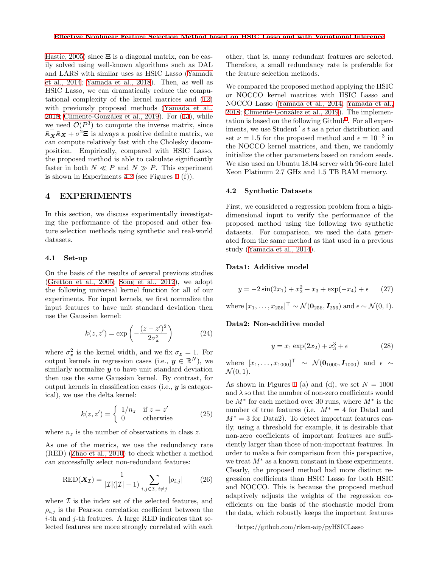[Hastie, 2005](#page-9-12)) since **Ξ** is a diagonal matrix, can be easily solved using well-known algorithms such as DAL and LARS with similar uses as HSIC Lasso([Yamada](#page-9-4) [et al., 2014](#page-9-4); [Yamada et al., 2018](#page-9-8)). Then, as well as HSIC Lasso, we can dramatically reduce the computational complexity of the kernel matrices and([12](#page-4-2)) withpreviously proposed methods ([Yamada et al.,](#page-9-8)  $2018$ ; Climente-González et al.,  $2019$ ). For  $(13)$ , while we need  $\mathcal{O}(P^3)$  to compute the inverse matrix, since  $\bar{\kappa}_X^{\top} \bar{\kappa}_X + \sigma^2 \Xi$  is always a positive definite matrix, we can compute relatively fast with the Cholesky decomposition. Empirically, compared with HSIC Lasso, the proposed method is able to calculate significantly faster in both  $N \ll P$  and  $N \gg P$ . This experiment is shown in Experiments [4.2](#page-5-0) (see Figures [1](#page-6-0) (f)).

## **4 EXPERIMENTS**

In this section, we discuss experimentally investigating the performance of the proposed and other feature selection methods using synthetic and real-world datasets.

#### **4.1 Set-up**

On the basis of the results of several previous studies ([Gretton et al., 2005;](#page-8-5) [Song et al., 2012\)](#page-9-13), we adopt the following universal kernel function for all of our experiments. For input kernels, we first normalize the input features to have unit standard deviation then use the Gaussian kernel:

$$
k(z, z') = \exp\left(-\frac{(z - z')^2}{2\sigma_z^2}\right) \tag{24}
$$

where  $\sigma_z^2$  is the kernel width, and we fix  $\sigma_z = 1$ . For output kernels in regression cases (i.e.,  $y \in \mathbb{R}^N$ ), we similarly normalize *y* to have unit standard deviation then use the same Gaussian kernel. By contrast, for output kernels in classification cases (i.e., *y* is categorical), we use the delta kernel:

$$
k(z, z') = \begin{cases} 1/n_z & \text{if } z = z' \\ 0 & \text{otherwise} \end{cases}
$$
 (25)

where  $n_z$  is the number of observations in class  $z$ .

As one of the metrics, we use the redundancy rate (RED)([Zhao et al., 2010](#page-9-14)) to check whether a method can successfully select non-redundant features:

$$
\text{RED}(\boldsymbol{X}_{\mathcal{I}}) = \frac{1}{|\mathcal{I}|(|\mathcal{I}| - 1)} \sum_{i,j \in \mathcal{I}, i \neq j} |\rho_{i,j}| \tag{26}
$$

where  $\mathcal I$  is the index set of the selected features, and  $\rho_{i,j}$  is the Pearson correlation coefficient between the *i*-th and *j*-th features. A large RED indicates that selected features are more strongly correlated with each

other, that is, many redundant features are selected. Therefore, a small redundancy rate is preferable for the feature selection methods.

We compared the proposed method applying the HSIC or NOCCO kernel matrices with HSIC Lasso and NOCCO Lasso [\(Yamada et al., 2014](#page-9-4); [Yamada et al.,](#page-9-8) [2018;](#page-9-8) Climente-González et al., 2019). The implementation is based on the following  $\text{Github}^1$  $\text{Github}^1$ . For all experiments, we use Student 's *t* as a prior distribution and set  $\nu = 1.5$  for the proposed method and  $\epsilon = 10^{-3}$  in the NOCCO kernel matrices, and then, we randomly initialize the other parameters based on random seeds. We also used an Ubuntu 18.04 server with 96-core Intel Xeon Platinum 2.7 GHz and 1.5 TB RAM memory.

#### <span id="page-5-0"></span>**4.2 Synthetic Datasets**

First, we considered a regression problem from a highdimensional input to verify the performance of the proposed method using the following two synthetic datasets. For comparison, we used the data generated from the same method as that used in a previous study [\(Yamada et al., 2014](#page-9-4)).

## **Data1: Additive model**

$$
y = -2\sin(2x_1) + x_2^2 + x_3 + \exp(-x_4) + \epsilon \qquad (27)
$$

 $\text{where } [x_1, \ldots, x_{256}]^{\top} \sim \mathcal{N}(\mathbf{0}_{256}, \mathbf{I}_{256}) \text{ and } \epsilon \sim \mathcal{N}(0, 1).$ 

## **Data2: Non-additive model**

$$
y = x_1 \exp(2x_2) + x_3^3 + \epsilon \tag{28}
$$

 $N(0_{1000}, I_{1000})$  and  $\epsilon \sim$  $\mathcal{N}(0, 1)$ .

As shown in Figures [1](#page-6-0) (a) and (d), we set  $N = 1000$ and  $\lambda$  so that the number of non-zero coefficients would be *M<sup>∗</sup>* for each method over 30 runs, where *M<sup>∗</sup>* is the number of true features (i.e. *M<sup>∗</sup>* = 4 for Data1 and *M*<sup>∗</sup> = 3 for Data2). To detect important features easily, using a threshold for example, it is desirable that non-zero coefficients of important features are sufficiently larger than those of non-important features. In order to make a fair comparison from this perspective, we treat *M<sup>∗</sup>* as a known constant in these experiments. Clearly, the proposed method had more distinct regression coefficients than HSIC Lasso for both HSIC and NOCCO. This is because the proposed method adaptively adjusts the weights of the regression coefficients on the basis of the stochastic model from the data, which robustly keeps the important features

<span id="page-5-1"></span><sup>1</sup>https://github.com/riken-aip/pyHSICLasso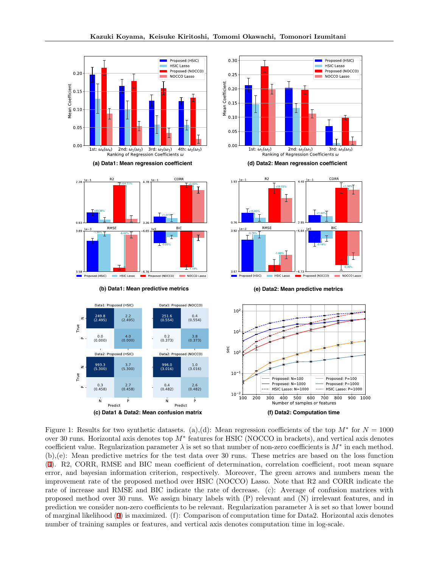











**(e) Data2: Mean predictive metrics**



<span id="page-6-0"></span>Figure 1: Results for two synthetic datasets. (a),(d): Mean regression coefficients of the top  $M^*$  for  $N = 1000$ over 30 runs. Horizontal axis denotes top *M<sup>∗</sup>* features for HSIC (NOCCO in brackets), and vertical axis denotes coefficient value. Regularization parameter  $\lambda$  is set so that number of non-zero coefficients is  $M^*$  in each method. (b),(e): Mean predictive metrics for the test data over 30 runs. These metrics are based on the loss function ([4\)](#page-3-0). R2, CORR, RMSE and BIC mean coefficient of determination, correlation coefficient, root mean square error, and bayesian information criterion, respectively. Moreover, The green arrows and numbers mean the improvement rate of the proposed method over HSIC (NOCCO) Lasso. Note that R2 and CORR indicate the rate of increase and RMSE and BIC indicate the rate of decrease. (c): Average of confusion matrices with proposed method over 30 runs. We assign binary labels with (P) relevant and (N) irrelevant features, and in prediction we consider non-zero coefficients to be relevant. Regularization parameter *λ* is set so that lower bound of marginal likelihood([9](#page-3-5)) is maximized. (f): Comparison of computation time for Data2. Horizontal axis denotes number of training samples or features, and vertical axis denotes computation time in log-scale.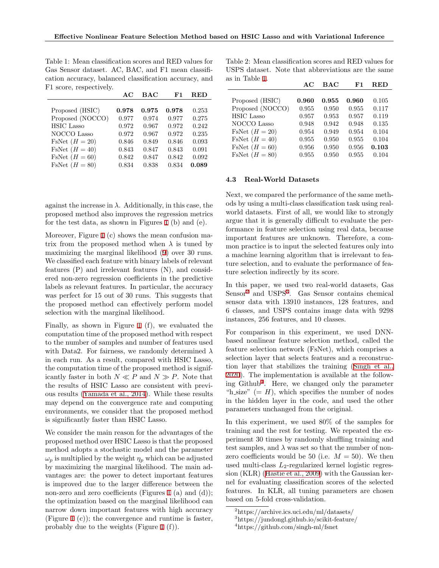<span id="page-7-0"></span>Table 1: Mean classification scores and RED values for Gas Sensor dataset. AC, BAC, and F1 mean classification accuracy, balanced classification accuracy, and F1 score, respectively.

|                           | AC    | $\mathbf{B}\mathbf{A}\mathbf{C}$ | F1    | RED   |
|---------------------------|-------|----------------------------------|-------|-------|
|                           |       |                                  |       |       |
| Proposed (HSIC)           | 0.978 | 0.975                            | 0.978 | 0.253 |
| Proposed (NOCCO)          | 0.977 | 0.974                            | 0.977 | 0.275 |
| <b>HSIC</b> Lasso         | 0.972 | 0.967                            | 0.972 | 0.242 |
| NOCCO Lasso               | 0.972 | 0.967                            | 0.972 | 0.235 |
| $FsNet (H = 20)$          | 0.846 | 0.849                            | 0.846 | 0.093 |
| $\text{FsNet}$ $(H = 40)$ | 0.843 | 0.847                            | 0.843 | 0.091 |
| FsNet $(H = 60)$          | 0.842 | 0.847                            | 0.842 | 0.092 |
| FsNet $(H = 80)$          | 0.834 | 0.838                            | 0.834 | 0.089 |

against the increase in  $\lambda$ . Additionally, in this case, the proposed method also improves the regression metrics for the test data, as shown in Figures [1](#page-6-0) (b) and (e).

Moreover, Figure [1](#page-6-0) (c) shows the mean confusion matrix from the proposed method when  $\lambda$  is tuned by maximizing the marginal likelihood([9\)](#page-3-5) over 30 runs. We classified each feature with binary labels of relevant features (P) and irrelevant features (N), and considered non-zero regression coefficients in the predictive labels as relevant features. In particular, the accuracy was perfect for 15 out of 30 runs. This suggests that the proposed method can effectively perform model selection with the marginal likelihood.

Finally, as shown in Figure [1](#page-6-0) (f), we evaluated the computation time of the proposed method with respect to the number of samples and number of features used with Data2. For fairness, we randomly determined *λ* in each run. As a result, compared with HSIC Lasso, the computation time of the proposed method is significantly faster in both  $N \ll P$  and  $N \gg P$ . Note that the results of HSIC Lasso are consistent with previous results [\(Yamada et al., 2014](#page-9-4)). While these results may depend on the convergence rate and computing environments, we consider that the proposed method is significantly faster than HSIC Lasso.

We consider the main reason for the advantages of the proposed method over HSIC Lasso is that the proposed method adopts a stochastic model and the parameter  $\omega_p$  is multiplied by the weight  $\eta_p$  which can be adjusted by maximizing the marginal likelihood. The main advantages are: the power to detect important features is improved due to the larger difference between the non-zero and zero coefficients (Figures [1](#page-6-0) (a) and (d)); the optimization based on the marginal likelihood can narrow down important features with high accuracy (Figure [1](#page-6-0) (c)); the convergence and runtime is faster, probably due to the weights (Figure [1](#page-6-0) (f)).

<span id="page-7-4"></span>Table 2: Mean classification scores and RED values for USPS dataset. Note that abbreviations are the same as in Table [1](#page-7-0).

|                           | AC    | BAC   | F1    | <b>RED</b> |
|---------------------------|-------|-------|-------|------------|
|                           |       |       |       |            |
| Proposed (HSIC)           | 0.960 | 0.955 | 0.960 | 0.105      |
| Proposed (NOCCO)          | 0.955 | 0.950 | 0.955 | 0.117      |
| <b>HSIC</b> Lasso         | 0.957 | 0.953 | 0.957 | 0.119      |
| NOCCO Lasso               | 0.948 | 0.942 | 0.948 | 0.135      |
| FsNet $(H = 20)$          | 0.954 | 0.949 | 0.954 | 0.104      |
| $\text{FsNet}$ $(H = 40)$ | 0.955 | 0.950 | 0.955 | 0.104      |
| FsNet $(H = 60)$          | 0.956 | 0.950 | 0.956 | 0.103      |
| $\text{FsNet}$ $(H = 80)$ | 0.955 | 0.950 | 0.955 | 0.104      |

#### **4.3 Real-World Datasets**

Next, we compared the performance of the same methods by using a multi-class classification task using realworld datasets. First of all, we would like to strongly argue that it is generally difficult to evaluate the performance in feature selection using real data, because important features are unknown. Therefore, a common practice is to input the selected features only into a machine learning algorithm that is irrelevant to feature selection, and to evaluate the performance of feature selection indirectly by its score.

In this paper, we used two real-world datasets, Gas Sensor<sup>[2](#page-7-1)</sup> and USPS<sup>[3](#page-7-2)</sup>. Gas Sensor contains chemical sensor data with 13910 instances, 128 features, and 6 classes, and USPS contains image data with 9298 instances, 256 features, and 10 classes.

For comparison in this experiment, we used DNNbased nonlinear feature selection method, called the feature selection network (FsNet), which comprises a selection layer that selects features and a reconstruction layer that stabilizes the training([Singh et al.,](#page-9-15) [2020\)](#page-9-15). The implementation is available at the follow-ing Github<sup>[4](#page-7-3)</sup>. Here, we changed only the parameter "h\_size"  $(= H)$ , which specifies the number of nodes in the hidden layer in the code, and used the other parameters unchanged from the original.

In this experiment, we used 80% of the samples for training and the rest for testing. We repeated the experiment 30 times by randomly shuffling training and test samples, and  $\lambda$  was set so that the number of nonzero coefficients would be 50 (i.e.  $M = 50$ ). We then used multi-class  $L_2$ -regularized kernel logistic regression (KLR)([Hastie et al., 2009](#page-8-13)) with the Gaussian kernel for evaluating classification scores of the selected features. In KLR, all tuning parameters are chosen based on 5-fold cross-validation.

<span id="page-7-2"></span><span id="page-7-1"></span><sup>2</sup>https://archive.ics.uci.edu/ml/datasets/

<sup>3</sup>https://jundongl.github.io/scikit-feature/

<span id="page-7-3"></span><sup>4</sup>https://github.com/singh-ml/fsnet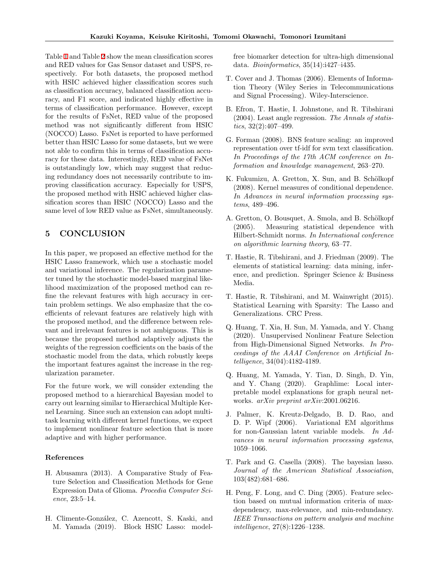Table [1](#page-7-0) and Table [2](#page-7-4) show the mean classification scores and RED values for Gas Sensor dataset and USPS, respectively. For both datasets, the proposed method with HSIC achieved higher classification scores such as classification accuracy, balanced classification accuracy, and F1 score, and indicated highly effective in terms of classification performance. However, except for the results of FsNet, RED value of the proposed method was not significantly different from HSIC (NOCCO) Lasso. FsNet is reported to have performed better than HSIC Lasso for some datasets, but we were not able to confirm this in terms of classification accuracy for these data. Interestingly, RED value of FsNet is outstandingly low, which may suggest that reducing redundancy does not necessarily contribute to improving classification accuracy. Especially for USPS, the proposed method with HSIC achieved higher classification scores than HSIC (NOCCO) Lasso and the same level of low RED value as FsNet, simultaneously.

# **5 CONCLUSION**

In this paper, we proposed an effective method for the HSIC Lasso framework, which use a stochastic model and variational inference. The regularization parameter tuned by the stochastic model-based marginal likelihood maximization of the proposed method can refine the relevant features with high accuracy in certain problem settings. We also emphasize that the coefficients of relevant features are relatively high with the proposed method, and the difference between relevant and irrelevant features is not ambiguous. This is because the proposed method adaptively adjusts the weights of the regression coefficients on the basis of the stochastic model from the data, which robustly keeps the important features against the increase in the regularization parameter.

For the future work, we will consider extending the proposed method to a hierarchical Bayesian model to carry out learning similar to Hierarchical Multiple Kernel Learning. Since such an extension can adopt multitask learning with different kernel functions, we expect to implement nonlinear feature selection that is more adaptive and with higher performance.

#### <span id="page-8-1"></span>**References**

- H. Abusamra (2013). A Comparative Study of Feature Selection and Classification Methods for Gene Expression Data of Glioma. *Procedia Computer Science*, 23:5–14.
- <span id="page-8-6"></span>H. Climente-Gonz´alez, C. Azencott, S. Kaski, and M. Yamada (2019). Block HSIC Lasso: model-

free biomarker detection for ultra-high dimensional data. *Bioinformatics*, 35(14):i427–i435.

- <span id="page-8-4"></span>T. Cover and J. Thomas (2006). Elements of Information Theory (Wiley Series in Telecommunications and Signal Processing). Wiley-Interscience.
- <span id="page-8-10"></span>B. Efron, T. Hastie, I. Johnstone, and R. Tibshirani (2004). Least angle regression. *The Annals of statistics*, 32(2):407–499.
- <span id="page-8-0"></span>G. Forman (2008). BNS feature scaling: an improved representation over tf-idf for svm text classification. *In Proceedings of the 17th ACM conference on Information and knowledge management*, 263–270.
- <span id="page-8-9"></span>K. Fukumizu, A. Gretton, X. Sun, and B. Schölkopf (2008). Kernel measures of conditional dependence. *In Advances in neural information processing systems*, 489–496.
- <span id="page-8-5"></span>A. Gretton, O. Bousquet, A. Smola, and B. Schölkopf (2005). Measuring statistical dependence with Hilbert-Schmidt norms. *In International conference on algorithmic learning theory*, 63–77.
- <span id="page-8-13"></span>T. Hastie, R. Tibshirani, and J. Friedman (2009). The elements of statistical learning: data mining, inference, and prediction. Springer Science & Business Media.
- <span id="page-8-2"></span>T. Hastie, R. Tibshirani, and M. Wainwright (2015). Statistical Learning with Sparsity: The Lasso and Generalizations. CRC Press.
- <span id="page-8-7"></span>Q. Huang, T. Xia, H. Sun, M. Yamada, and Y. Chang (2020). Unsupervised Nonlinear Feature Selection from High-Dimensional Signed Networks. *In Proceedings of the AAAI Conference on Artificial Intelligence*, 34(04):4182-4189.
- <span id="page-8-8"></span>Q. Huang, M. Yamada, Y. Tian, D. Singh, D. Yin, and Y. Chang (2020). Graphlime: Local interpretable model explanations for graph neural networks. *arXiv preprint arXiv*:2001.06216.
- <span id="page-8-12"></span>J. Palmer, K. Kreutz-Delgado, B. D. Rao, and D. P. Wipf (2006). Variational EM algorithms for non-Gaussian latent variable models. *In Advances in neural information processing systems*, 1059–1066.
- <span id="page-8-11"></span>T. Park and G. Casella (2008). The bayesian lasso. *Journal of the American Statistical Association*, 103(482):681–686.
- <span id="page-8-3"></span>H. Peng, F. Long, and C. Ding (2005). Feature selection based on mutual information criteria of maxdependency, max-relevance, and min-redundancy. *IEEE Transactions on pattern analysis and machine intelligence*, 27(8):1226–1238.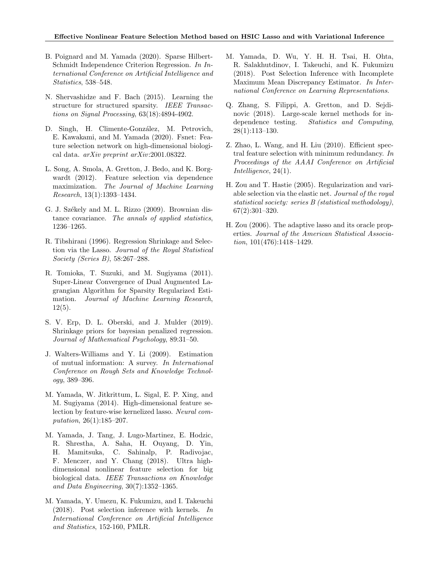- <span id="page-9-5"></span>B. Poignard and M. Yamada (2020). Sparse Hilbert-Schmidt Independence Criterion Regression. *In International Conference on Artificial Intelligence and Statistics*, 538–548.
- <span id="page-9-11"></span>N. Shervashidze and F. Bach (2015). Learning the structure for structured sparsity. *IEEE Transactions on Signal Processing*, 63(18):4894-4902.
- <span id="page-9-15"></span>D. Singh, H. Climente-González, M. Petrovich, E. Kawakami, and M. Yamada (2020). Fsnet: Feature selection network on high-dimensional biological data. *arXiv preprint arXiv*:2001.08322.
- <span id="page-9-13"></span>L. Song, A. Smola, A. Gretton, J. Bedo, and K. Borgwardt (2012). Feature selection via dependence maximization. *The Journal of Machine Learning Research*, 13(1):1393–1434.
- <span id="page-9-2"></span>G. J. Székely and M. L. Rizzo (2009). Brownian distance covariance. *The annals of applied statistics*, 1236–1265.
- <span id="page-9-0"></span>R. Tibshirani (1996). Regression Shrinkage and Selection via the Lasso. *Journal of the Royal Statistical Society (Series B)*, 58:267–288.
- <span id="page-9-9"></span>R. Tomioka, T. Suzuki, and M. Sugiyama (2011). Super-Linear Convergence of Dual Augmented Lagrangian Algorithm for Sparsity Regularized Estimation. *Journal of Machine Learning Research*,  $12(5)$ .
- S. V. Erp, D. L. Oberski, and J. Mulder (2019). Shrinkage priors for bayesian penalized regression. *Journal of Mathematical Psychology*, 89:31–50.
- <span id="page-9-3"></span>J. Walters-Williams and Y. Li (2009). Estimation of mutual information: A survey. *In International Conference on Rough Sets and Knowledge Technology*, 389–396.
- <span id="page-9-4"></span>M. Yamada, W. Jitkrittum, L. Sigal, E. P. Xing, and M. Sugiyama (2014). High-dimensional feature selection by feature-wise kernelized lasso. *Neural computation*, 26(1):185–207.
- <span id="page-9-8"></span>M. Yamada, J. Tang, J. Lugo-Martinez, E. Hodzic, R. Shrestha, A. Saha, H. Ouyang, D. Yin, H. Mamitsuka, C. Sahinalp, P. Radivojac, F. Menczer, and Y. Chang (2018). Ultra highdimensional nonlinear feature selection for big biological data. *IEEE Transactions on Knowledge and Data Engineering*, 30(7):1352–1365.
- <span id="page-9-6"></span>M. Yamada, Y. Umezu, K. Fukumizu, and I. Takeuchi (2018). Post selection inference with kernels. *In International Conference on Artificial Intelligence and Statistics*, 152-160, PMLR.
- <span id="page-9-7"></span>M. Yamada, D. Wu, Y. H. H. Tsai, H. Ohta, R. Salakhutdinov, I. Takeuchi, and K. Fukumizu (2018). Post Selection Inference with Incomplete Maximum Mean Discrepancy Estimator. *In International Conference on Learning Representations*.
- <span id="page-9-10"></span>Q. Zhang, S. Filippi, A. Gretton, and D. Sejdinovic (2018). Large-scale kernel methods for independence testing. *Statistics and Computing*, 28(1):113–130.
- <span id="page-9-14"></span>Z. Zhao, L. Wang, and H. Liu (2010). Efficient spectral feature selection with minimum redundancy. *In Proceedings of the AAAI Conference on Artificial Intelligence*, 24(1).
- <span id="page-9-12"></span>H. Zou and T. Hastie (2005). Regularization and variable selection via the elastic net. *Journal of the royal statistical society: series B (statistical methodology)*, 67(2):301–320.
- <span id="page-9-1"></span>H. Zou (2006). The adaptive lasso and its oracle properties. *Journal of the American Statistical Association*, 101(476):1418–1429.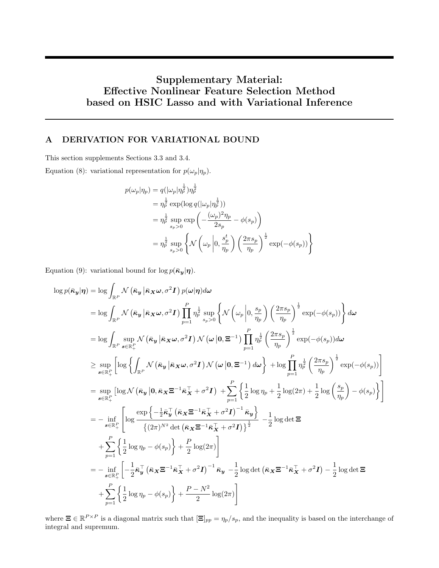# **Supplementary Material: Effective Nonlinear Feature Selection Method based on HSIC Lasso and with Variational Inference**

# **A DERIVATION FOR VARIATIONAL BOUND**

This section supplements Sections 3.3 and 3.4.

Equation (8): variational representation for  $p(\omega_p|\eta_p)$ .

$$
p(\omega_p|\eta_p) = q(|\omega_p|\eta_p^{\frac{1}{2}})\eta_p^{\frac{1}{2}}
$$
  
\n
$$
= \eta_p^{\frac{1}{2}} \exp(\log q(|\omega_p|\eta_p^{\frac{1}{2}}))
$$
  
\n
$$
= \eta_p^{\frac{1}{2}} \sup_{s_p>0} \exp\left(-\frac{(\omega_p)^2 \eta_p}{2s_p} - \phi(s_p)\right)
$$
  
\n
$$
= \eta_p^{\frac{1}{2}} \sup_{s_p>0} \left\{\mathcal{N}\left(\omega_p \left|0, \frac{s_p^t}{\eta_p}\right) \left(\frac{2\pi s_p}{\eta_p}\right)^{\frac{1}{2}} \exp(-\phi(s_p))\right\}\right\}
$$

Equation (9): variational bound for  $\log p(\bar{k}_y|\eta)$ .

$$
\log p(\bar{\kappa}_{y}|\eta) = \log \int_{\mathbb{R}^{P}} \mathcal{N}(\bar{\kappa}_{y}|\bar{\kappa}_{X}\omega,\sigma^{2}I) p(\omega|\eta) d\omega
$$
\n
$$
= \log \int_{\mathbb{R}^{P}} \mathcal{N}(\bar{\kappa}_{y}|\bar{\kappa}_{X}\omega,\sigma^{2}I) \prod_{p=1}^{P} \eta_{p}^{\frac{1}{2}} \sup_{s_{p}>0} \left\{ \mathcal{N}(\omega_{p} \bigg| 0, \frac{s_{p}}{\eta_{p}} \right) \left( \frac{2\pi s_{p}}{\eta_{p}} \right)^{\frac{1}{2}} \exp(-\phi(s_{p})) \right\} d\omega
$$
\n
$$
= \log \int_{\mathbb{R}^{P}} \sup_{s \in \mathbb{R}_{+}^{P}} \mathcal{N}(\bar{\kappa}_{y}|\bar{\kappa}_{X}\omega,\sigma^{2}I) \mathcal{N}(\omega|0,\Xi^{-1}) \prod_{p=1}^{P} \eta_{p}^{\frac{1}{2}} \left( \frac{2\pi s_{p}}{\eta_{p}} \right)^{\frac{1}{2}} \exp(-\phi(s_{p})) d\omega
$$
\n
$$
\geq \sup_{s \in \mathbb{R}_{+}^{P}} \left[ \log \left\{ \int_{\mathbb{R}^{P}} \mathcal{N}(\bar{\kappa}_{y}|\bar{\kappa}_{X}\omega,\sigma^{2}I) \mathcal{N}(\omega|0,\Xi^{-1}) d\omega \right\} + \log \prod_{p=1}^{P} \eta_{p}^{\frac{1}{2}} \left( \frac{2\pi s_{p}}{\eta_{p}} \right)^{\frac{1}{2}} \exp(-\phi(s_{p})) \right]
$$
\n
$$
= \sup_{s \in \mathbb{R}_{+}^{P}} \left[ \log \mathcal{N}(\bar{\kappa}_{y}|\mathbf{0}, \bar{\kappa}_{X}\Xi^{-1}\bar{\kappa}_{X}^{\top} + \sigma^{2}I) + \sum_{p=1}^{P} \left\{ \frac{1}{2} \log \eta_{p} + \frac{1}{2} \log(2\pi) + \frac{1}{2} \log \left( \frac{s_{p}}{\eta_{p}} \right) - \phi(s_{p}) \right\} \right]
$$
\n
$$
= - \inf_{s \in \mathbb{R}_{+}^{P}} \left[ \log \frac{\exp \left
$$

where  $\mathbf{\Xi} \in \mathbb{R}^{P \times P}$  is a diagonal matrix such that  $[\mathbf{\Xi}]_{pp} = \eta_p / s_p$ , and the inequality is based on the interchange of integral and supremum.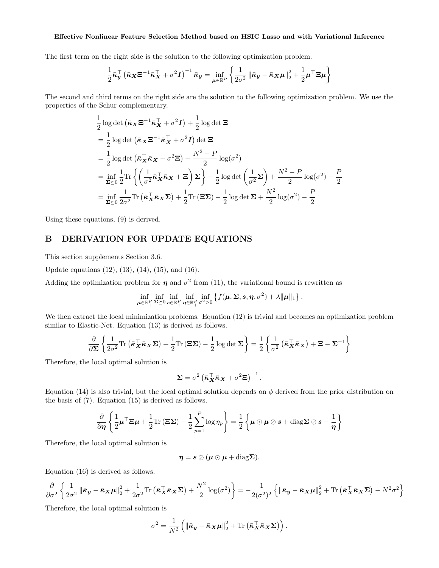The first term on the right side is the solution to the following optimization problem.

$$
\frac{1}{2}\bar{\boldsymbol{\kappa}}_{\boldsymbol{y}}^{\top} \left(\bar{\boldsymbol{\kappa}}_{\boldsymbol{X}} \boldsymbol{\Xi}^{-1} \bar{\boldsymbol{\kappa}}_{\boldsymbol{X}}^{\top} + \sigma^2 \boldsymbol{I}\right)^{-1} \bar{\boldsymbol{\kappa}}_{\boldsymbol{y}} = \inf_{\boldsymbol{\mu} \in \mathbb{R}^P} \left\{ \frac{1}{2\sigma^2} \left\| \bar{\boldsymbol{\kappa}}_{\boldsymbol{y}} - \bar{\boldsymbol{\kappa}}_{\boldsymbol{X}} \boldsymbol{\mu} \right\|_2^2 + \frac{1}{2} \boldsymbol{\mu}^{\top} \boldsymbol{\Xi} \boldsymbol{\mu} \right\}
$$

The second and third terms on the right side are the solution to the following optimization problem. We use the properties of the Schur complementary.

$$
\frac{1}{2}\log \det (\bar{\boldsymbol{\kappa}}_{\boldsymbol{X}}\boldsymbol{\Xi}^{-1}\bar{\boldsymbol{\kappa}}_{\boldsymbol{X}}^{\top} + \sigma^2 \boldsymbol{I}) + \frac{1}{2}\log \det \boldsymbol{\Xi}
$$
\n  
\n
$$
= \frac{1}{2}\log \det (\bar{\boldsymbol{\kappa}}_{\boldsymbol{X}}\boldsymbol{\Xi}^{-1}\bar{\boldsymbol{\kappa}}_{\boldsymbol{X}}^{\top} + \sigma^2 \boldsymbol{I}) \det \boldsymbol{\Xi}
$$
\n  
\n
$$
= \frac{1}{2}\log \det (\bar{\boldsymbol{\kappa}}_{\boldsymbol{X}}\bar{\boldsymbol{\kappa}}_{\boldsymbol{X}} + \sigma^2 \boldsymbol{\Xi}) + \frac{N^2 - P}{2}\log(\sigma^2)
$$
\n  
\n
$$
= \inf_{\boldsymbol{\Sigma}\succeq 0} \frac{1}{2}\text{Tr}\left\{\left(\frac{1}{\sigma^2}\bar{\boldsymbol{\kappa}}_{\boldsymbol{X}}^{\top}\bar{\boldsymbol{\kappa}}_{\boldsymbol{X}} + \boldsymbol{\Xi}\right)\boldsymbol{\Sigma}\right\} - \frac{1}{2}\log \det\left(\frac{1}{\sigma^2}\boldsymbol{\Sigma}\right) + \frac{N^2 - P}{2}\log(\sigma^2) - \frac{P}{2}
$$
\n  
\n
$$
= \inf_{\boldsymbol{\Sigma}\succeq 0} \frac{1}{2\sigma^2}\text{Tr}\left(\bar{\boldsymbol{\kappa}}_{\boldsymbol{X}}^{\top}\bar{\boldsymbol{\kappa}}_{\boldsymbol{X}}\boldsymbol{\Sigma}\right) + \frac{1}{2}\text{Tr}\left(\boldsymbol{\Xi}\boldsymbol{\Sigma}\right) - \frac{1}{2}\log \det \boldsymbol{\Sigma} + \frac{N^2}{2}\log(\sigma^2) - \frac{P}{2}
$$

Using these equations, (9) is derived.

## **B DERIVATION FOR UPDATE EQUATIONS**

This section supplements Section 3.6.

Update equations (12), (13), (14), (15), and (16).

Adding the optimization problem for  $\eta$  and  $\sigma^2$  from (11), the variational bound is rewritten as

$$
\inf_{\boldsymbol{\mu}\in\mathbb{R}_+^P} \inf_{\boldsymbol{\Sigma}\succeq 0} \inf_{\boldsymbol{s}\in\mathbb{R}_+^P} \inf_{\boldsymbol{\eta}\in\mathbb{R}_+^P} \inf_{\sigma^2>0} \left\{f(\boldsymbol{\mu},\boldsymbol{\Sigma},\boldsymbol{s},\boldsymbol{\eta},\sigma^2)+\lambda\|\boldsymbol{\mu}\|_1\right\}.
$$

We then extract the local minimization problems. Equation  $(12)$  is trivial and becomes an optimization problem similar to Elastic-Net. Equation (13) is derived as follows.

$$
\frac{\partial}{\partial \Sigma} \left\{ \frac{1}{2\sigma^2} \text{Tr} \left( \bar{\boldsymbol{\kappa}}_{\boldsymbol{X}}^{\top} \bar{\boldsymbol{\kappa}}_{\boldsymbol{X}} \Sigma \right) + \frac{1}{2} \text{Tr} \left( \boldsymbol{\Xi} \Sigma \right) - \frac{1}{2} \log \det \Sigma \right\} = \frac{1}{2} \left\{ \frac{1}{\sigma^2} \left( \bar{\boldsymbol{\kappa}}_{\boldsymbol{X}}^{\top} \bar{\boldsymbol{\kappa}}_{\boldsymbol{X}} \right) + \boldsymbol{\Xi} - \Sigma^{-1} \right\}
$$

Therefore, the local optimal solution is

$$
\mathbf{\Sigma} = \sigma^2 \left( \bar{\boldsymbol{\kappa}}_{\boldsymbol{X}}^\top \bar{\boldsymbol{\kappa}}_{\boldsymbol{X}} + \sigma^2 \boldsymbol{\Xi} \right)^{-1}.
$$

Equation (14) is also trivial, but the local optimal solution depends on  $\phi$  derived from the prior distribution on the basis of (7). Equation (15) is derived as follows.

$$
\frac{\partial}{\partial \eta} \left\{ \frac{1}{2} \boldsymbol{\mu}^\top \boldsymbol{\Xi} \boldsymbol{\mu} + \frac{1}{2} \text{Tr} \left( \boldsymbol{\Xi} \boldsymbol{\Sigma} \right) - \frac{1}{2} \sum_{p=1}^P \log \eta_p \right\} = \frac{1}{2} \left\{ \boldsymbol{\mu} \odot \boldsymbol{\mu} \oslash \boldsymbol{s} + \text{diag} \boldsymbol{\Sigma} \oslash \boldsymbol{s} - \frac{1}{\eta} \right\}
$$

Therefore, the local optimal solution is

$$
\boldsymbol{\eta} = \boldsymbol{s} \oslash (\boldsymbol{\mu} \odot \boldsymbol{\mu} + \mathrm{diag} \boldsymbol{\Sigma}).
$$

Equation (16) is derived as follows.

$$
\frac{\partial}{\partial \sigma^2} \left\{ \frac{1}{2\sigma^2} \left\| \bar{\boldsymbol{\kappa}}_{\boldsymbol{y}} - \bar{\boldsymbol{\kappa}}_{\boldsymbol{X}} \boldsymbol{\mu} \right\|_2^2 + \frac{1}{2\sigma^2} \text{Tr} \left( \bar{\boldsymbol{\kappa}}_{\boldsymbol{X}}^\top \bar{\boldsymbol{\kappa}}_{\boldsymbol{X}} \boldsymbol{\Sigma} \right) + \frac{N^2}{2} \log(\sigma^2) \right\} = -\frac{1}{2(\sigma^2)^2} \left\{ \left\| \bar{\boldsymbol{\kappa}}_{\boldsymbol{y}} - \bar{\boldsymbol{\kappa}}_{\boldsymbol{X}} \boldsymbol{\mu} \right\|_2^2 + \text{Tr} \left( \bar{\boldsymbol{\kappa}}_{\boldsymbol{X}}^\top \bar{\boldsymbol{\kappa}}_{\boldsymbol{X}} \boldsymbol{\Sigma} \right) - N^2 \sigma^2 \right\}
$$

Therefore, the local optimal solution is

$$
\sigma^2 = \frac{1}{N^2} \left( \left\| \bar{\boldsymbol{\kappa}}_{\boldsymbol{y}} - \bar{\boldsymbol{\kappa}}_{\boldsymbol{X}} \boldsymbol{\mu} \right\|_2^2 + \text{Tr} \left( \bar{\boldsymbol{\kappa}}_{\boldsymbol{X}}^\top \bar{\boldsymbol{\kappa}}_{\boldsymbol{X}} \boldsymbol{\Sigma} \right) \right).
$$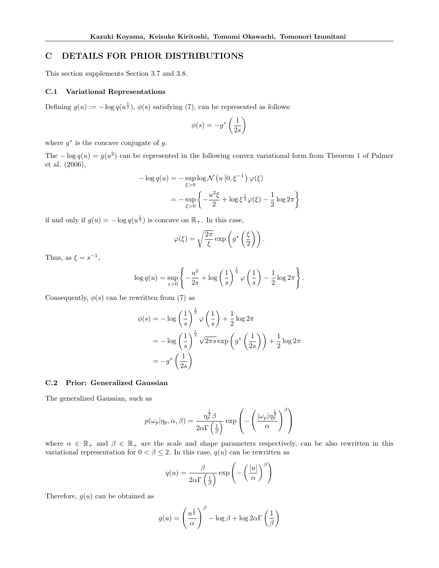## **C DETAILS FOR PRIOR DISTRIBUTIONS**

This section supplements Section 3.7 and 3.8.

## **C.1 Variational Representations**

Defining  $g(u) := -\log q(u^{\frac{1}{2}}), \phi(s)$  satisfying (7), can be represented as follows:

$$
\phi(s) = -g^* \left(\frac{1}{2s}\right)
$$

where  $g^*$  is the concave conjugate of  $g$ .

The  $-\log q(u) = g(u^2)$  can be represented in the following convex variational form from Theorem 1 of Palmer et al. (2006),

$$
-\log q(u) = -\sup_{\xi>0} \log \mathcal{N}\left(u \middle| 0, \xi^{-1}\right) \varphi(\xi)
$$

$$
= -\sup_{\xi>0} \left\{-\frac{u^2 \xi}{2} + \log \xi^{\frac{1}{2}} \varphi(\xi) - \frac{1}{2} \log 2\pi\right\}
$$

if and only if  $g(u) = -\log q(u^{\frac{1}{2}})$  is concave on  $\mathbb{R}_+$ . In this case,

$$
\varphi(\xi) = \sqrt{\frac{2\pi}{\xi}} \exp\left(g^*\left(\frac{\xi}{2}\right)\right).
$$

Thus, as  $\xi = s^{-1}$ ,

$$
\log q(u) = \sup_{s>0} \left\{ -\frac{u^2}{2s} + \log \left( \frac{1}{s} \right)^{\frac{1}{2}} \varphi \left( \frac{1}{s} \right) - \frac{1}{2} \log 2\pi \right\}.
$$

Consequently,  $\phi(s)$  can be rewritten from (7) as

$$
\begin{aligned} \phi(s) &= -\log\left(\frac{1}{s}\right)^{\frac{1}{2}} \varphi\left(\frac{1}{s}\right) + \frac{1}{2}\log 2\pi \\ &= -\log\left(\frac{1}{s}\right)^{\frac{1}{2}} \sqrt{2\pi s} \exp\left(g^*\left(\frac{1}{2s}\right)\right) + \frac{1}{2}\log 2\pi \\ &= -g^*\left(\frac{1}{2s}\right) \end{aligned}
$$

## **C.2 Prior: Generalized Gaussian**

The generalized Gaussian, such as

$$
p(\omega_p|\eta_p,\alpha,\beta) = \frac{\eta_p^{\frac{1}{2}}\beta}{2\alpha\Gamma\left(\frac{1}{\beta}\right)}\exp\left(-\left(\frac{|\omega_p|\eta_p^{\frac{1}{2}}}{\alpha}\right)^{\beta}\right)
$$

where  $\alpha \in \mathbb{R}_+$  and  $\beta \in \mathbb{R}_+$  are the scale and shape parameters respectively, can be also rewritten in this variational representation for  $0 < \beta \leq 2$ . In this case,  $q(u)$  can be rewritten as

$$
q(u) = \frac{\beta}{2\alpha \Gamma\left(\frac{1}{\beta}\right)} \exp\left(-\left(\frac{|u|}{\alpha}\right)^{\beta}\right)
$$

Therefore,  $g(u)$  can be obtained as

$$
g(u) = \left(\frac{u^{\frac{1}{2}}}{\alpha}\right)^{\beta} - \log \beta + \log 2\alpha \Gamma\left(\frac{1}{\beta}\right)
$$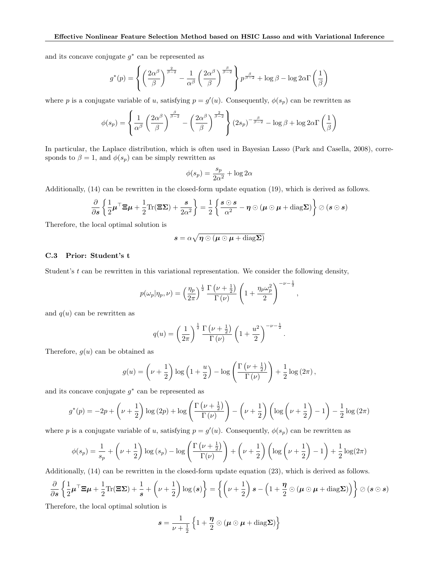and its concave conjugate *g ∗* can be represented as

$$
g^*(p) = \left\{ \left(\frac{2\alpha^{\beta}}{\beta}\right)^{\frac{2}{\beta-2}} - \frac{1}{\alpha^{\beta}} \left(\frac{2\alpha^{\beta}}{\beta}\right)^{\frac{\beta}{\beta-2}} \right\} p^{\frac{\beta}{\beta-2}} + \log \beta - \log 2\alpha \Gamma\left(\frac{1}{\beta}\right)
$$

where *p* is a conjugate variable of *u*, satisfying  $p = g'(u)$ . Consequently,  $\phi(s_p)$  can be rewritten as

$$
\phi(s_p) = \left\{ \frac{1}{\alpha^{\beta}} \left( \frac{2\alpha^{\beta}}{\beta} \right)^{\frac{\beta}{\beta - 2}} - \left( \frac{2\alpha^{\beta}}{\beta} \right)^{\frac{2}{\beta - 2}} \right\} (2s_p)^{-\frac{\beta}{\beta - 2}} - \log \beta + \log 2\alpha \Gamma\left(\frac{1}{\beta}\right)
$$

In particular, the Laplace distribution, which is often used in Bayesian Lasso (Park and Casella, 2008), corresponds to  $\beta = 1$ , and  $\phi(s_p)$  can be simply rewritten as

$$
\phi(s_p) = \frac{s_p}{2\alpha^2} + \log 2\alpha
$$

Additionally, (14) can be rewritten in the closed-form update equation (19), which is derived as follows.

$$
\frac{\partial}{\partial s} \left\{ \frac{1}{2} \boldsymbol{\mu}^\top \boldsymbol{\Xi} \boldsymbol{\mu} + \frac{1}{2} \text{Tr}(\boldsymbol{\Xi} \boldsymbol{\Sigma}) + \frac{s}{2\alpha^2} \right\} = \frac{1}{2} \left\{ \frac{s \odot s}{\alpha^2} - \boldsymbol{\eta} \odot (\boldsymbol{\mu} \odot \boldsymbol{\mu} + \text{diag} \boldsymbol{\Sigma}) \right\} \oslash (s \odot s)
$$

Therefore, the local optimal solution is

$$
\boldsymbol{s} = \alpha \sqrt{ \boldsymbol{\eta} \odot ( \boldsymbol{\mu} \odot \boldsymbol{\mu} + \text{diag} \boldsymbol{\Sigma} ) }
$$

## **C.3 Prior: Student's t**

Student's *t* can be rewritten in this variational representation. We consider the following density,

$$
p(\omega_p|\eta_p,\nu) = \left(\frac{\eta_p}{2\pi}\right)^{\frac{1}{2}} \frac{\Gamma\left(\nu + \frac{1}{2}\right)}{\Gamma\left(\nu\right)} \left(1 + \frac{\eta_p \omega_p^2}{2}\right)^{-\nu - \frac{1}{2}},
$$

and  $q(u)$  can be rewritten as

$$
q(u) = \left(\frac{1}{2\pi}\right)^{\frac{1}{2}} \frac{\Gamma\left(\nu + \frac{1}{2}\right)}{\Gamma\left(\nu\right)} \left(1 + \frac{u^2}{2}\right)^{-\nu - \frac{1}{2}}.
$$

Therefore,  $g(u)$  can be obtained as

$$
g(u) = \left(\nu + \frac{1}{2}\right) \log\left(1 + \frac{u}{2}\right) - \log\left(\frac{\Gamma\left(\nu + \frac{1}{2}\right)}{\Gamma\left(\nu\right)}\right) + \frac{1}{2} \log\left(2\pi\right),\,
$$

and its concave conjugate *g ∗* can be represented as

$$
g^*(p) = -2p + \left(\nu + \frac{1}{2}\right)\log\left(2p\right) + \log\left(\frac{\Gamma\left(\nu + \frac{1}{2}\right)}{\Gamma\left(\nu\right)}\right) - \left(\nu + \frac{1}{2}\right)\left(\log\left(\nu + \frac{1}{2}\right) - 1\right) - \frac{1}{2}\log\left(2\pi\right)
$$

where *p* is a conjugate variable of *u*, satisfying  $p = g'(u)$ . Consequently,  $\phi(s_p)$  can be rewritten as

$$
\phi(s_p) = \frac{1}{s_p} + \left(\nu + \frac{1}{2}\right) \log\left(s_p\right) - \log\left(\frac{\Gamma\left(\nu + \frac{1}{2}\right)}{\Gamma(\nu)}\right) + \left(\nu + \frac{1}{2}\right) \left(\log\left(\nu + \frac{1}{2}\right) - 1\right) + \frac{1}{2} \log(2\pi)
$$

Additionally, (14) can be rewritten in the closed-form update equation (23), which is derived as follows.

$$
\frac{\partial}{\partial s} \left\{ \frac{1}{2} \boldsymbol{\mu}^\top \boldsymbol{\Xi} \boldsymbol{\mu} + \frac{1}{2} \text{Tr}(\boldsymbol{\Xi} \boldsymbol{\Sigma}) + \frac{1}{s} + \left( \nu + \frac{1}{2} \right) \log(s) \right\} = \left\{ \left( \nu + \frac{1}{2} \right) s - \left( 1 + \frac{\eta}{2} \odot (\boldsymbol{\mu} \odot \boldsymbol{\mu} + \text{diag} \boldsymbol{\Sigma}) \right) \right\} \oslash (s \odot s)
$$

Therefore, the local optimal solution is

$$
s = \frac{1}{\nu + \frac{1}{2}} \left\{ 1 + \frac{\eta}{2} \odot (\mu \odot \mu + \text{diag} \Sigma) \right\}
$$